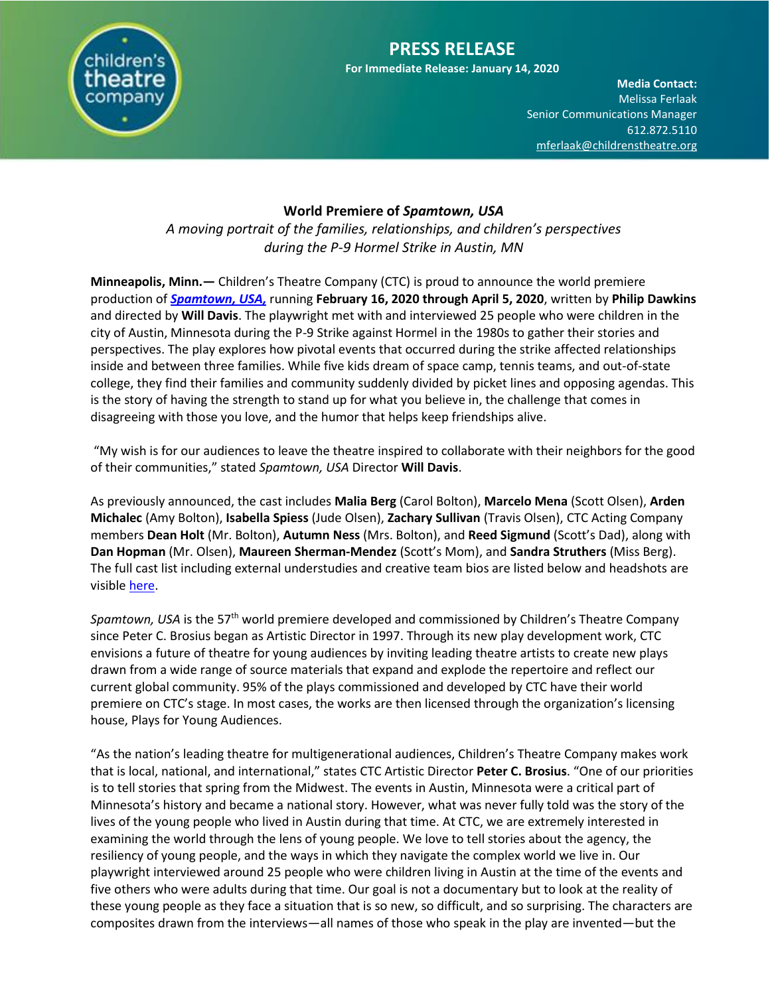

# **PRESS RELEASE**

**For Immediate Release: January 14, 2020**

**Media Contact:**  Melissa Ferlaak Senior Communications Manager 612.872.5110 [mferlaak@childrenstheatre.org](mailto:mferlaak@childrenstheatre.org)

## **World Premiere of** *Spamtown, USA*

*A moving portrait of the families, relationships, and children's perspectives during the P-9 Hormel Strike in Austin, MN*

**Minneapolis, Minn.—** Children's Theatre Company (CTC) is proud to announce the world premiere production of *[Spamtown, USA,](https://childrenstheatre.org/whats-on/spamtown/)* running **February 16, 2020 through April 5, 2020**, written by **Philip Dawkins** and directed by **Will Davis**. The playwright met with and interviewed 25 people who were children in the city of Austin, Minnesota during the P-9 Strike against Hormel in the 1980s to gather their stories and perspectives. The play explores how pivotal events that occurred during the strike affected relationships inside and between three families. While five kids dream of space camp, tennis teams, and out-of-state college, they find their families and community suddenly divided by picket lines and opposing agendas. This is the story of having the strength to stand up for what you believe in, the challenge that comes in disagreeing with those you love, and the humor that helps keep friendships alive.

"My wish is for our audiences to leave the theatre inspired to collaborate with their neighbors for the good of their communities," stated *Spamtown, USA* Director **Will Davis**.

As previously announced, the cast includes **Malia Berg** (Carol Bolton), **Marcelo Mena** (Scott Olsen), **Arden Michalec** (Amy Bolton), **Isabella Spiess** (Jude Olsen), **Zachary Sullivan** (Travis Olsen), CTC Acting Company members **Dean Holt** (Mr. Bolton), **Autumn Ness** (Mrs. Bolton), and **Reed Sigmund** (Scott's Dad), along with **Dan Hopman** (Mr. Olsen), **Maureen Sherman-Mendez** (Scott's Mom), and **Sandra Struthers** (Miss Berg). The full cast list including external understudies and creative team bios are listed below and headshots are visibl[e here.](https://offbook.childrenstheatre.org/announcing-the-cast-of-spamtown-usa-d8b79e3cf6fa)

*Spamtown, USA* is the 57th world premiere developed and commissioned by Children's Theatre Company since Peter C. Brosius began as Artistic Director in 1997. Through its new play development work, CTC envisions a future of theatre for young audiences by inviting leading theatre artists to create new plays drawn from a wide range of source materials that expand and explode the repertoire and reflect our current global community. 95% of the plays commissioned and developed by CTC have their world premiere on CTC's stage. In most cases, the works are then licensed through the organization's licensing house, Plays for Young Audiences.

"As the nation's leading theatre for multigenerational audiences, Children's Theatre Company makes work that is local, national, and international," states CTC Artistic Director **Peter C. Brosius**. "One of our priorities is to tell stories that spring from the Midwest. The events in Austin, Minnesota were a critical part of Minnesota's history and became a national story. However, what was never fully told was the story of the lives of the young people who lived in Austin during that time. At CTC, we are extremely interested in examining the world through the lens of young people. We love to tell stories about the agency, the resiliency of young people, and the ways in which they navigate the complex world we live in. Our playwright interviewed around 25 people who were children living in Austin at the time of the events and five others who were adults during that time. Our goal is not a documentary but to look at the reality of these young people as they face a situation that is so new, so difficult, and so surprising. The characters are composites drawn from the interviews—all names of those who speak in the play are invented—but the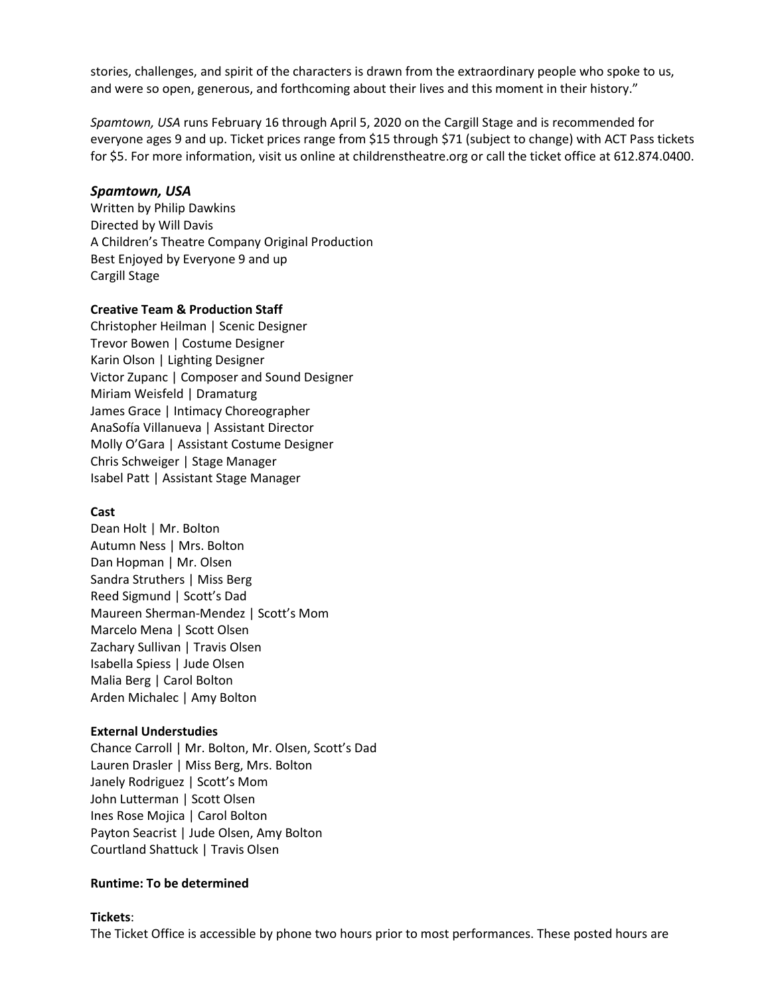stories, challenges, and spirit of the characters is drawn from the extraordinary people who spoke to us, and were so open, generous, and forthcoming about their lives and this moment in their history."

Spamtown, USA runs February 16 through April 5, 2020 on the Cargill Stage and is recommended for everyone ages 9 and up. Ticket prices range from \$15 through \$71 (subject to change) with ACT Pass tickets for \$5. For more information, visit us online at childrenstheatre.org or call the ticket office at 612.874.0400.

### *Spamtown, USA*

Written by Philip Dawkins Directed by Will Davis A Children's Theatre Company Original Production Best Enjoyed by Everyone 9 and up Cargill Stage

## **Creative Team & Production Staff**

Christopher Heilman | Scenic Designer Trevor Bowen | Costume Designer Karin Olson | Lighting Designer Victor Zupanc | Composer and Sound Designer Miriam Weisfeld | Dramaturg James Grace | Intimacy Choreographer AnaSofía Villanueva | Assistant Director Molly O'Gara | Assistant Costume Designer Chris Schweiger | Stage Manager Isabel Patt | Assistant Stage Manager

### **Cast**

Dean Holt | Mr. Bolton Autumn Ness | Mrs. Bolton Dan Hopman | Mr. Olsen Sandra Struthers | Miss Berg Reed Sigmund | Scott's Dad Maureen Sherman-Mendez | Scott's Mom Marcelo Mena | Scott Olsen Zachary Sullivan | Travis Olsen Isabella Spiess | Jude Olsen Malia Berg | Carol Bolton Arden Michalec | Amy Bolton

### **External Understudies**

Chance Carroll | Mr. Bolton, Mr. Olsen, Scott's Dad Lauren Drasler | Miss Berg, Mrs. Bolton Janely Rodriguez | Scott's Mom John Lutterman | Scott Olsen Ines Rose Mojica | Carol Bolton Payton Seacrist | Jude Olsen, Amy Bolton Courtland Shattuck | Travis Olsen

### **Runtime: To be determined**

### **Tickets**:

The Ticket Office is accessible by phone two hours prior to most performances. These posted hours are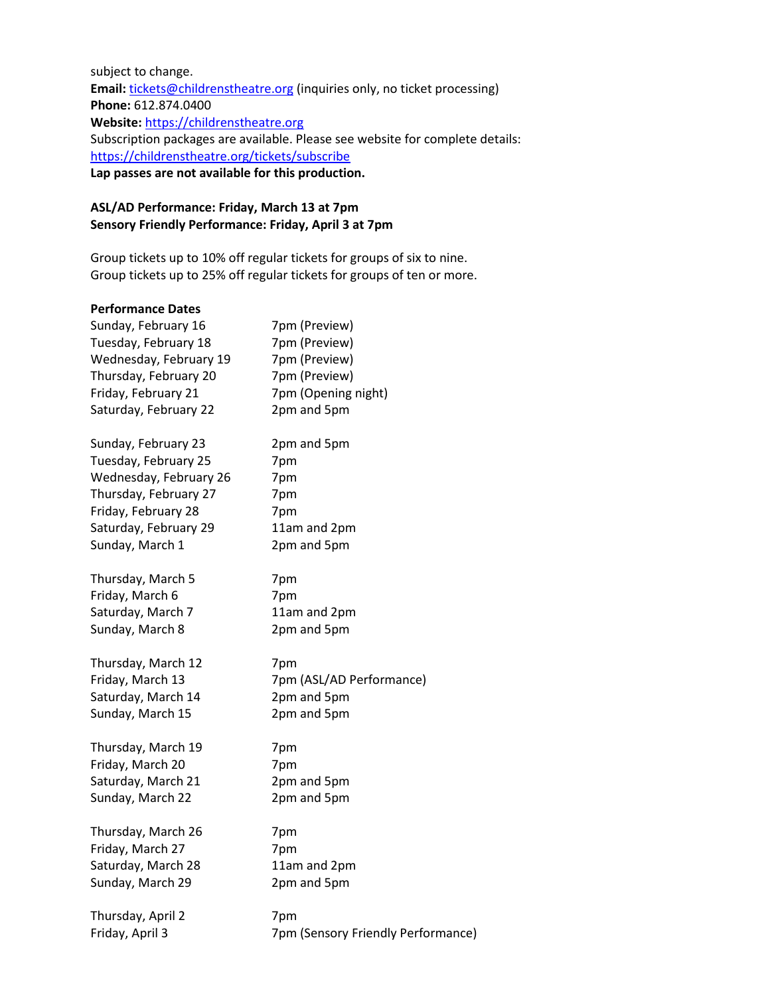subject to change. Email: [tickets@childrenstheatre.org](mailto:tickets@childrenstheatre.org) (inquiries only, no ticket processing) **Phone:** 612.874.0400 **Website:** [https://childrenstheatre.org](https://childrenstheatre.org/) Subscription packages are available. Please see website for complete details: <https://childrenstheatre.org/tickets/subscribe> **Lap passes are not available for this production.**

## **ASL/AD Performance: Friday, March 13 at 7pm Sensory Friendly Performance: Friday, April 3 at 7pm**

Group tickets up to 10% off regular tickets for groups of six to nine. Group tickets up to 25% off regular tickets for groups of ten or more.

## **Performance Dates**

| Sunday, February 16    | 7pm (Preview)                      |
|------------------------|------------------------------------|
| Tuesday, February 18   | 7pm (Preview)                      |
| Wednesday, February 19 | 7pm (Preview)                      |
| Thursday, February 20  | 7pm (Preview)                      |
| Friday, February 21    | 7pm (Opening night)                |
| Saturday, February 22  | 2pm and 5pm                        |
| Sunday, February 23    | 2pm and 5pm                        |
| Tuesday, February 25   | 7pm                                |
| Wednesday, February 26 | 7pm                                |
| Thursday, February 27  | 7pm                                |
| Friday, February 28    | 7pm                                |
| Saturday, February 29  | 11am and 2pm                       |
| Sunday, March 1        | 2pm and 5pm                        |
| Thursday, March 5      | 7pm                                |
| Friday, March 6        | 7pm                                |
| Saturday, March 7      | 11am and 2pm                       |
| Sunday, March 8        | 2pm and 5pm                        |
| Thursday, March 12     | 7pm                                |
| Friday, March 13       | 7pm (ASL/AD Performance)           |
| Saturday, March 14     | 2pm and 5pm                        |
| Sunday, March 15       | 2pm and 5pm                        |
| Thursday, March 19     | 7pm                                |
| Friday, March 20       | 7pm                                |
| Saturday, March 21     | 2pm and 5pm                        |
| Sunday, March 22       | 2pm and 5pm                        |
| Thursday, March 26     | 7pm                                |
| Friday, March 27       | 7pm                                |
| Saturday, March 28     | 11am and 2pm                       |
| Sunday, March 29       | 2pm and 5pm                        |
| Thursday, April 2      | 7pm                                |
| Friday, April 3        | 7pm (Sensory Friendly Performance) |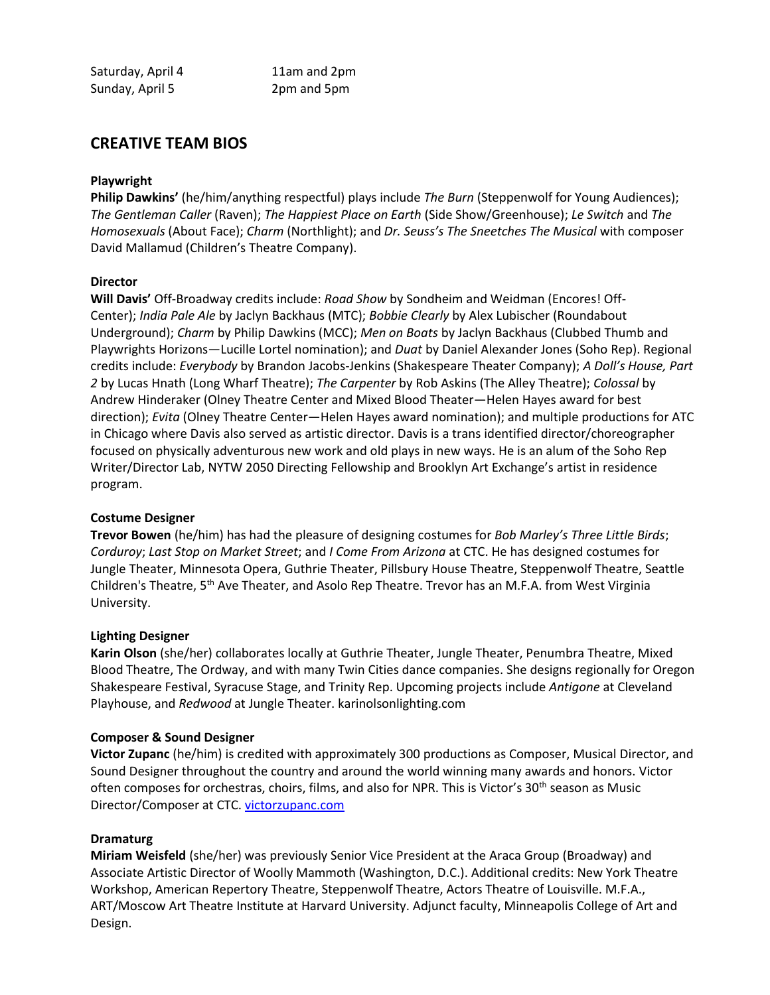# **CREATIVE TEAM BIOS**

## **Playwright**

**Philip Dawkins'** (he/him/anything respectful) plays include *The Burn* (Steppenwolf for Young Audiences); *The Gentleman Caller* (Raven); *The Happiest Place on Earth* (Side Show/Greenhouse); *Le Switch* and *The Homosexuals* (About Face); *Charm* (Northlight); and *Dr. Seuss's The Sneetches The Musical* with composer David Mallamud (Children's Theatre Company).

## **Director**

**Will Davis'** Off-Broadway credits include: *Road Show* by Sondheim and Weidman (Encores! Off-Center); *India Pale Ale* by Jaclyn Backhaus (MTC); *Bobbie Clearly* by Alex Lubischer (Roundabout Underground); *Charm* by Philip Dawkins (MCC); *Men on Boats* by Jaclyn Backhaus (Clubbed Thumb and Playwrights Horizons—Lucille Lortel nomination); and *Duat* by Daniel Alexander Jones (Soho Rep). Regional credits include: *Everybody* by Brandon Jacobs-Jenkins (Shakespeare Theater Company); *A Doll's House, Part 2* by Lucas Hnath (Long Wharf Theatre); *The Carpenter* by Rob Askins (The Alley Theatre); *Colossal* by Andrew Hinderaker (Olney Theatre Center and Mixed Blood Theater—Helen Hayes award for best direction); *Evita* (Olney Theatre Center—Helen Hayes award nomination); and multiple productions for ATC in Chicago where Davis also served as artistic director. Davis is a trans identified director/choreographer focused on physically adventurous new work and old plays in new ways. He is an alum of the Soho Rep Writer/Director Lab, NYTW 2050 Directing Fellowship and Brooklyn Art Exchange's artist in residence program.

## **Costume Designer**

**Trevor Bowen** (he/him) has had the pleasure of designing costumes for *Bob Marley's Three Little Birds*; *Corduroy*; *Last Stop on Market Street*; and *I Come From Arizona* at CTC. He has designed costumes for Jungle Theater, Minnesota Opera, Guthrie Theater, Pillsbury House Theatre, Steppenwolf Theatre, Seattle Children's Theatre, 5<sup>th</sup> Ave Theater, and Asolo Rep Theatre. Trevor has an M.F.A. from West Virginia University.

## **Lighting Designer**

**Karin Olson** (she/her) collaborates locally at Guthrie Theater, Jungle Theater, Penumbra Theatre, Mixed Blood Theatre, The Ordway, and with many Twin Cities dance companies. She designs regionally for Oregon Shakespeare Festival, Syracuse Stage, and Trinity Rep. Upcoming projects include *Antigone* at Cleveland Playhouse, and *Redwood* at Jungle Theater. karinolsonlighting.com

## **Composer & Sound Designer**

**Victor Zupanc** (he/him) is credited with approximately 300 productions as Composer, Musical Director, and Sound Designer throughout the country and around the world winning many awards and honors. Victor often composes for orchestras, choirs, films, and also for NPR. This is Victor's 30<sup>th</sup> season as Music Director/Composer at CTC[. victorzupanc.com](http://victorzupanc.com/)

## **Dramaturg**

**Miriam Weisfeld** (she/her) was previously Senior Vice President at the Araca Group (Broadway) and Associate Artistic Director of Woolly Mammoth (Washington, D.C.). Additional credits: New York Theatre Workshop, American Repertory Theatre, Steppenwolf Theatre, Actors Theatre of Louisville. M.F.A., ART/Moscow Art Theatre Institute at Harvard University. Adjunct faculty, Minneapolis College of Art and Design.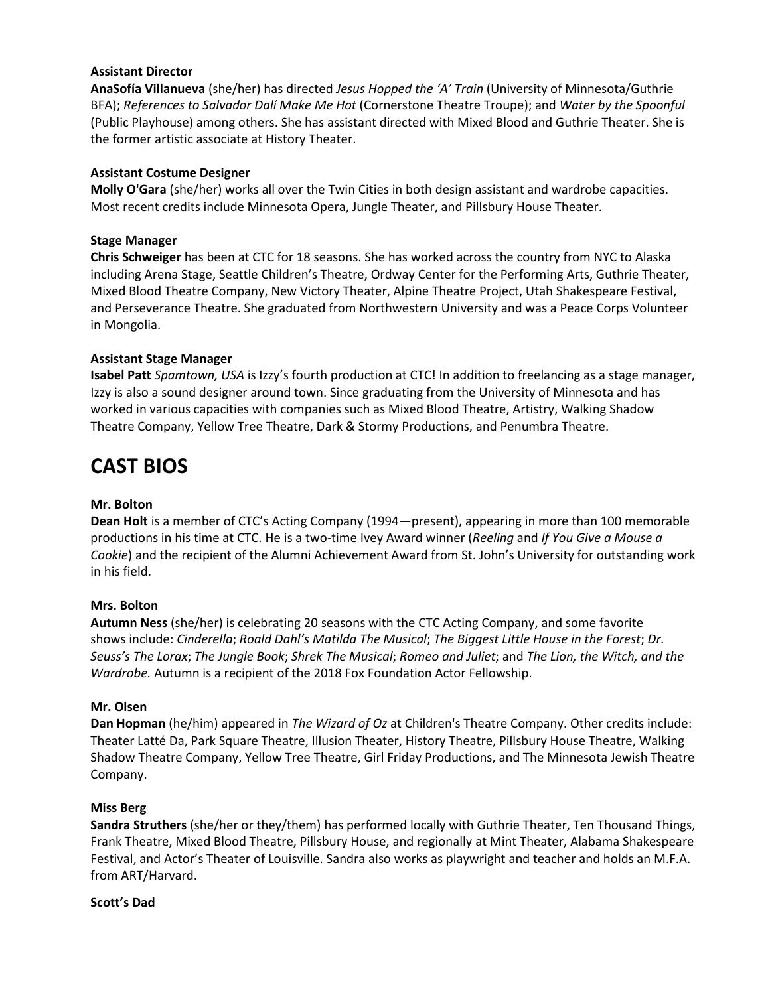## **Assistant Director**

AnaSofía Villanueva (she/her) has directed *Jesus Hopped the 'A' Train* (University of Minnesota/Guthrie BFA); References to Salvador Dalí Make Me Hot (Cornerstone Theatre Troupe); and *Water by the Spoonful* (Public Playhouse) among others. She has assistant directed with Mixed Blood and Guthrie Theater. She is the former artistic associate at History Theater.

## **Assistant Costume Designer**

**Molly O'Gara** (she/her) works all over the Twin Cities in both design assistant and wardrobe capacities. Most recent credits include Minnesota Opera, Jungle Theater, and Pillsbury House Theater.

### **Stage Manager**

**Chris Schweiger** has been at CTC for 18 seasons. She has worked across the country from NYC to Alaska including Arena Stage, Seattle Children's Theatre, Ordway Center for the Performing Arts, Guthrie Theater, Mixed Blood Theatre Company, New Victory Theater, Alpine Theatre Project, Utah Shakespeare Festival, and Perseverance Theatre. She graduated from Northwestern University and was a Peace Corps Volunteer in Mongolia.

## **Assistant Stage Manager**

**Isabel Patt** *Spamtown, USA* is Izzy's fourth production at CTC! In addition to freelancing as a stage manager, Izzy is also a sound designer around town. Since graduating from the University of Minnesota and has worked in various capacities with companies such as Mixed Blood Theatre, Artistry, Walking Shadow Theatre Company, Yellow Tree Theatre, Dark & Stormy Productions, and Penumbra Theatre.

# **CAST BIOS**

### **Mr. Bolton**

**Dean Holt** is a member of CTC's Acting Company (1994—present), appearing in more than 100 memorable productions in his time at CTC. He is a two-time Ivey Award winner (*Reeling* and *If You Give a Mouse a Cookie*) and the recipient of the Alumni Achievement Award from St. John's University for outstanding work in his field.

### **Mrs. Bolton**

**Autumn Ness** (she/her) is celebrating 20 seasons with the CTC Acting Company, and some favorite shows include: *Cinderella*; *Roald Dahl's Matilda The Musical*; *The Biggest Little House in the Forest*; *Dr. Seuss's The Lorax*; *The Jungle Book*; *Shrek The Musical*; *Romeo and Juliet*; and *The Lion, the Witch, and the Wardrobe.* Autumn is a recipient of the 2018 Fox Foundation Actor Fellowship.

### **Mr. Olsen**

**Dan Hopman** (he/him) appeared in *The Wizard of Oz* at Children's Theatre Company. Other credits include: Theater Latté Da, Park Square Theatre, Illusion Theater, History Theatre, Pillsbury House Theatre, Walking Shadow Theatre Company, Yellow Tree Theatre, Girl Friday Productions, and The Minnesota Jewish Theatre Company.

## **Miss Berg**

**Sandra Struthers** (she/her or they/them) has performed locally with Guthrie Theater, Ten Thousand Things, Frank Theatre, Mixed Blood Theatre, Pillsbury House, and regionally at Mint Theater, Alabama Shakespeare Festival, and Actor's Theater of Louisville. Sandra also works as playwright and teacher and holds an M.F.A. from ART/Harvard.

### **Scott's Dad**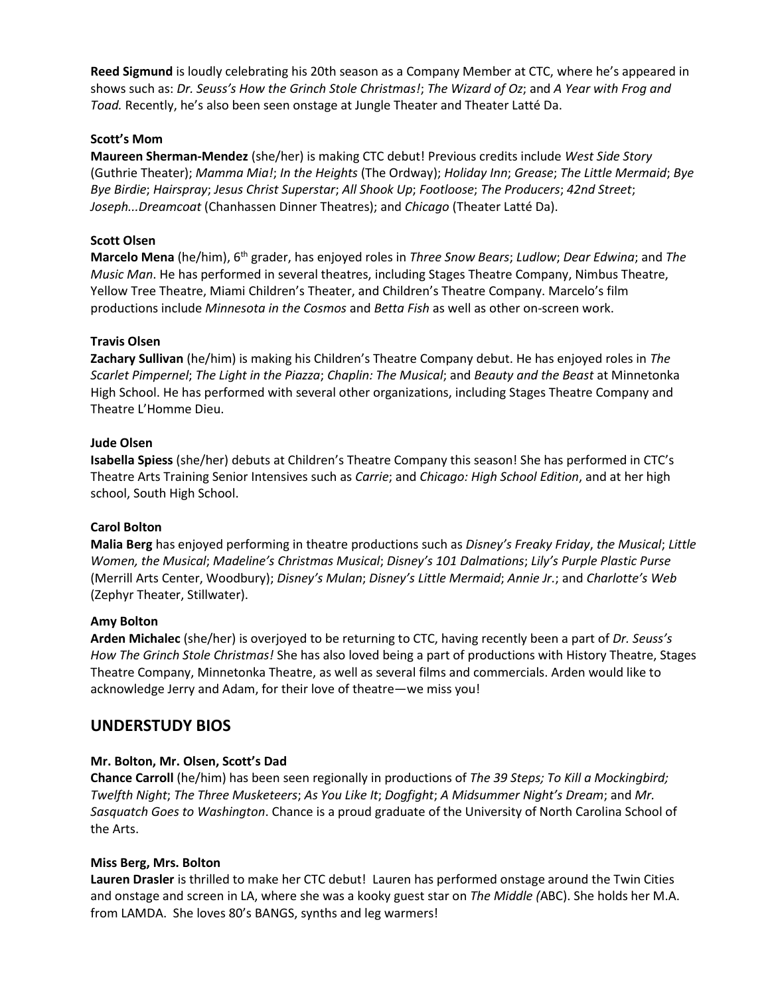Reed Sigmund is loudly celebrating his 20th season as a Company Member at CTC, where he's appeared in shows such as: *Dr. Seuss's How the Grinch Stole Christmas!; The Wizard of Oz;* and *A Year with Frog and* Toad. Recently, he's also been seen onstage at Jungle Theater and Theater Latté Da.

## **Scott's Mom**

**Maureen Sherman-Mendez** (she/her) is making CTC debut! Previous credits include *West Side Story*  (Guthrie Theater); *Mamma Mia!*; *In the Heights* (The Ordway); *Holiday Inn*; *Grease*; *The Little Mermaid*; *Bye Bye Birdie*; *Hairspray*; *Jesus Christ Superstar*; *All Shook Up*; *Footloose*; *The Producers*; *42nd Street*; *Joseph...Dreamcoat* (Chanhassen Dinner Theatres); and *Chicago* (Theater Latté Da).

## **Scott Olsen**

**Marcelo Mena** (he/him), 6th grader, has enjoyed roles in *Three Snow Bears*; *Ludlow*; *Dear Edwina*; and *The Music Man*. He has performed in several theatres, including Stages Theatre Company, Nimbus Theatre, Yellow Tree Theatre, Miami Children's Theater, and Children's Theatre Company. Marcelo's film productions include *Minnesota in the Cosmos* and *Betta Fish* as well as other on-screen work.

## **Travis Olsen**

**Zachary Sullivan** (he/him) is making his Children's Theatre Company debut. He has enjoyed roles in *The Scarlet Pimpernel*; *The Light in the Piazza*; *Chaplin: The Musical*; and *Beauty and the Beast* at Minnetonka High School. He has performed with several other organizations, including Stages Theatre Company and Theatre L'Homme Dieu.

## **Jude Olsen**

**Isabella Spiess** (she/her) debuts at Children's Theatre Company this season! She has performed in CTC's Theatre Arts Training Senior Intensives such as *Carrie*; and *Chicago: High School Edition*, and at her high school, South High School.

## **Carol Bolton**

**Malia Berg** has enjoyed performing in theatre productions such as *Disney's Freaky Friday*, *the Musical*; *Little Women, the Musical*; *Madeline's Christmas Musical*; *Disney's 101 Dalmations*; *Lily's Purple Plastic Purse* (Merrill Arts Center, Woodbury); *Disney's Mulan*; *Disney's Little Mermaid*; *Annie Jr.*; and *Charlotte's Web* (Zephyr Theater, Stillwater).

## **Amy Bolton**

**Arden Michalec** (she/her) is overjoyed to be returning to CTC, having recently been a part of *Dr. Seuss's How The Grinch Stole Christmas!* She has also loved being a part of productions with History Theatre, Stages Theatre Company, Minnetonka Theatre, as well as several films and commercials. Arden would like to acknowledge Jerry and Adam, for their love of theatre—we miss you!

## **UNDERSTUDY BIOS**

## **Mr. Bolton, Mr. Olsen, Scott's Dad**

**Chance Carroll** (he/him) has been seen regionally in productions of *The 39 Steps; To Kill a Mockingbird; Twelfth Night*; *The Three Musketeers*; *As You Like It*; *Dogfight*; *A Midsummer Night's Dream*; and *Mr. Sasquatch Goes to Washington*. Chance is a proud graduate of the University of North Carolina School of the Arts.

## **Miss Berg, Mrs. Bolton**

**Lauren Drasler** is thrilled to make her CTC debut! Lauren has performed onstage around the Twin Cities and onstage and screen in LA, where she was a kooky guest star on *The Middle (*ABC). She holds her M.A. from LAMDA. She loves 80's BANGS, synths and leg warmers!